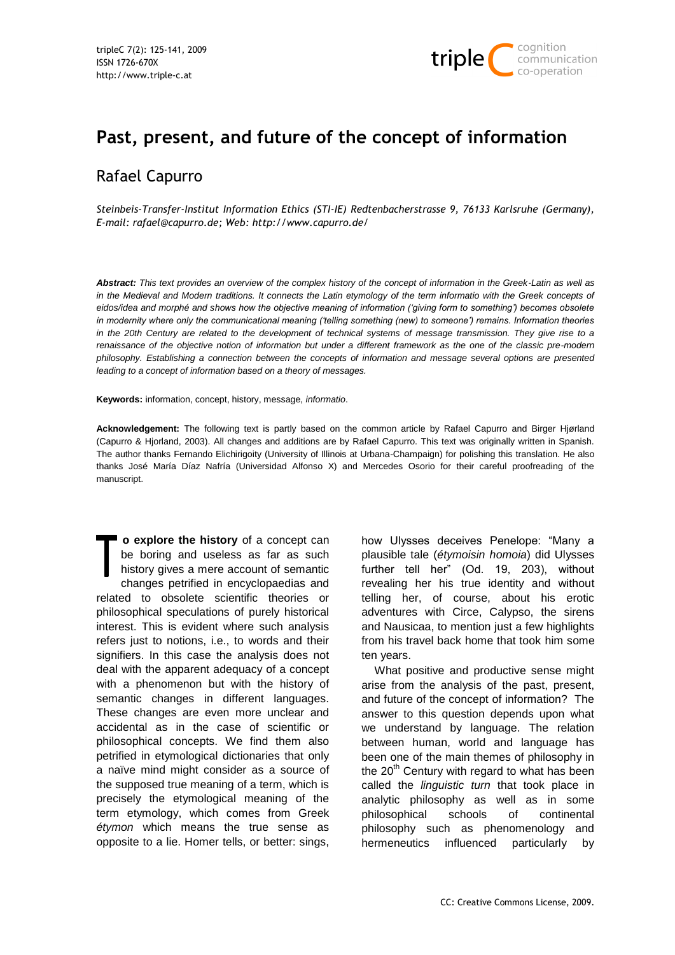

# **Past, present, and future of the concept of information**

## Rafael Capurro

*Steinbeis-Transfer-Institut Information Ethics (STI-IE) Redtenbacherstrasse 9, 76133 Karlsruhe (Germany), E-mail: rafael@capurro.de; Web: http://www.capurro.de/*

*Abstract: This text provides an overview of the complex history of the concept of information in the Greek-Latin as well as*  in the Medieval and Modern traditions. It connects the Latin etymology of the term informatio with the Greek concepts of *eidos/idea and morphé and shows how the objective meaning of information ("giving form to something") becomes obsolete in modernity where only the communicational meaning ("telling something (new) to someone") remains. Information theories in the 20th Century are related to the development of technical systems of message transmission. They give rise to a renaissance of the objective notion of information but under a different framework as the one of the classic pre-modern philosophy. Establishing a connection between the concepts of information and message several options are presented leading to a concept of information based on a theory of messages.*

**Keywords:** information, concept, history, message, *informatio*.

**Acknowledgement:** The following text is partly based on the common article by Rafael Capurro and Birger Hjørland (Capurro & Hjorland, 2003). All changes and additions are by Rafael Capurro. This text was originally written in Spanish. The author thanks Fernando Elichirigoity (University of Illinois at Urbana-Champaign) for polishing this translation. He also thanks José María Díaz Nafría (Universidad Alfonso X) and Mercedes Osorio for their careful proofreading of the manuscript.

**o explore the history** of a concept can be boring and useless as far as such history gives a mere account of semantic changes petrified in encyclopaedias and related to obsolete scientific theories or philosophical speculations of purely historical interest. This is evident where such analysis refers just to notions, i.e., to words and their signifiers. In this case the analysis does not deal with the apparent adequacy of a concept with a phenomenon but with the history of semantic changes in different languages. These changes are even more unclear and accidental as in the case of scientific or philosophical concepts. We find them also petrified in etymological dictionaries that only a naïve mind might consider as a source of the supposed true meaning of a term, which is precisely the etymological meaning of the term etymology, which comes from Greek *étymon* which means the true sense as opposite to a lie. Homer tells, or better: sings,

how Ulysses deceives Penelope: "Many a plausible tale (*étymoisin homoia*) did Ulysses further tell her" (Od. 19, 203), without revealing her his true identity and without telling her, of course, about his erotic adventures with Circe, Calypso, the sirens and Nausicaa, to mention just a few highlights from his travel back home that took him some ten years.

What positive and productive sense might arise from the analysis of the past, present, and future of the concept of information? The answer to this question depends upon what we understand by language. The relation between human, world and language has been one of the main themes of philosophy in the  $20<sup>th</sup>$  Century with regard to what has been called the *linguistic turn* that took place in analytic philosophy as well as in some philosophical schools of continental philosophy such as phenomenology and hermeneutics influenced particularly by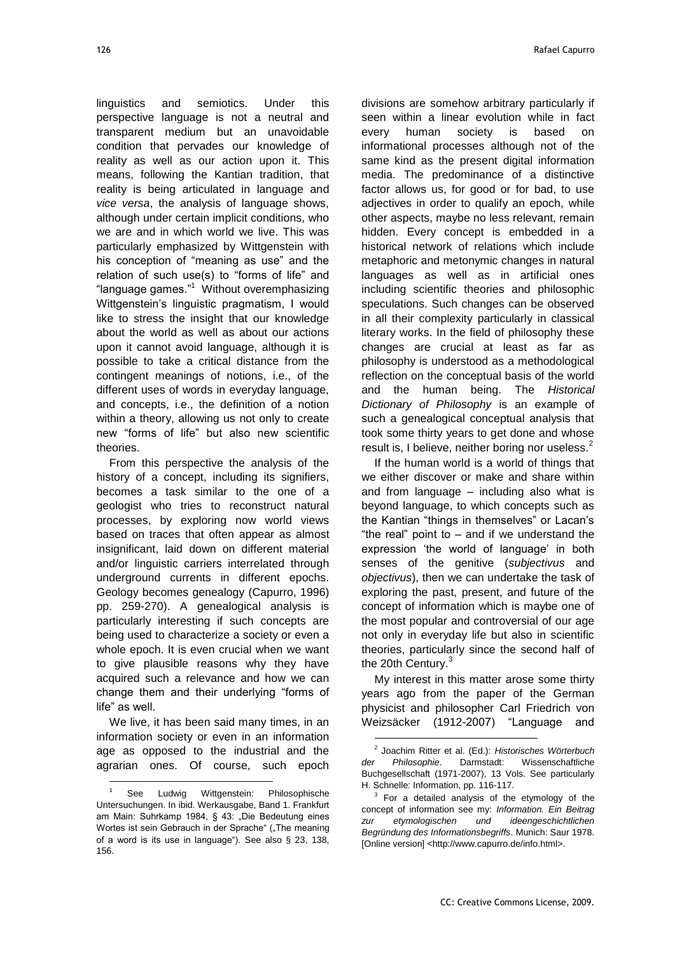linguistics and semiotics. Under this perspective language is not a neutral and transparent medium but an unavoidable condition that pervades our knowledge of reality as well as our action upon it. This means, following the Kantian tradition, that reality is being articulated in language and *vice versa*, the analysis of language shows, although under certain implicit conditions, who we are and in which world we live. This was particularly emphasized by Wittgenstein with his conception of "meaning as use" and the relation of such use(s) to "forms of life" and "language games."<sup>1</sup> Without overemphasizing Wittgenstein's linguistic pragmatism, I would like to stress the insight that our knowledge about the world as well as about our actions upon it cannot avoid language, although it is possible to take a critical distance from the contingent meanings of notions, i.e., of the different uses of words in everyday language, and concepts, i.e., the definition of a notion within a theory, allowing us not only to create new "forms of life" but also new scientific theories.

From this perspective the analysis of the history of a concept, including its signifiers, becomes a task similar to the one of a geologist who tries to reconstruct natural processes, by exploring now world views based on traces that often appear as almost insignificant, laid down on different material and/or linguistic carriers interrelated through underground currents in different epochs. Geology becomes genealogy (Capurro, 1996) pp. 259-270). A genealogical analysis is particularly interesting if such concepts are being used to characterize a society or even a whole epoch. It is even crucial when we want to give plausible reasons why they have acquired such a relevance and how we can change them and their underlying "forms of life" as well.

We live, it has been said many times, in an information society or even in an information age as opposed to the industrial and the agrarian ones. Of course, such epoch

l

divisions are somehow arbitrary particularly if seen within a linear evolution while in fact every human society is based on informational processes although not of the same kind as the present digital information media. The predominance of a distinctive factor allows us, for good or for bad, to use adjectives in order to qualify an epoch, while other aspects, maybe no less relevant, remain hidden. Every concept is embedded in a historical network of relations which include metaphoric and metonymic changes in natural languages as well as in artificial ones including scientific theories and philosophic speculations. Such changes can be observed in all their complexity particularly in classical literary works. In the field of philosophy these changes are crucial at least as far as philosophy is understood as a methodological reflection on the conceptual basis of the world and the human being. The *Historical Dictionary of Philosophy* is an example of such a genealogical conceptual analysis that took some thirty years to get done and whose result is, I believe, neither boring nor useless.<sup>2</sup>

If the human world is a world of things that we either discover or make and share within and from language – including also what is beyond language, to which concepts such as the Kantian "things in themselves" or Lacan's "the real" point to  $-$  and if we understand the expression 'the world of language' in both senses of the genitive (*subjectivus* and *objectivus*), then we can undertake the task of exploring the past, present, and future of the concept of information which is maybe one of the most popular and controversial of our age not only in everyday life but also in scientific theories, particularly since the second half of the 20th Century.<sup>3</sup>

My interest in this matter arose some thirty years ago from the paper of the German physicist and philosopher Carl Friedrich von Weizsäcker (1912-2007) "Language and

 $\overline{a}$ 

See Ludwig Wittgenstein: Philosophische Untersuchungen. In ibid. Werkausgabe, Band 1. Frankfurt am Main: Suhrkamp 1984, § 43: "Die Bedeutung eines Wortes ist sein Gebrauch in der Sprache" ("The meaning of a word is its use in language"). See also  $\S$  23, 138, 156.

<sup>2</sup> Joachim Ritter et al. (Ed.): *Historisches Wörterbuch der Philosophie*. Darmstadt: Wissenschaftliche Buchgesellschaft (1971-2007), 13 Vols. See particularly H. Schnelle: Information, pp. 116-117.

 $3$  For a detailed analysis of the etymology of the concept of information see my: *Information. Ein Beitrag zur etymologischen und ideengeschichtlichen Begründung des Informationsbegriffs*. Munich: Saur 1978. [Online version] <http://www.capurro.de/info.html>.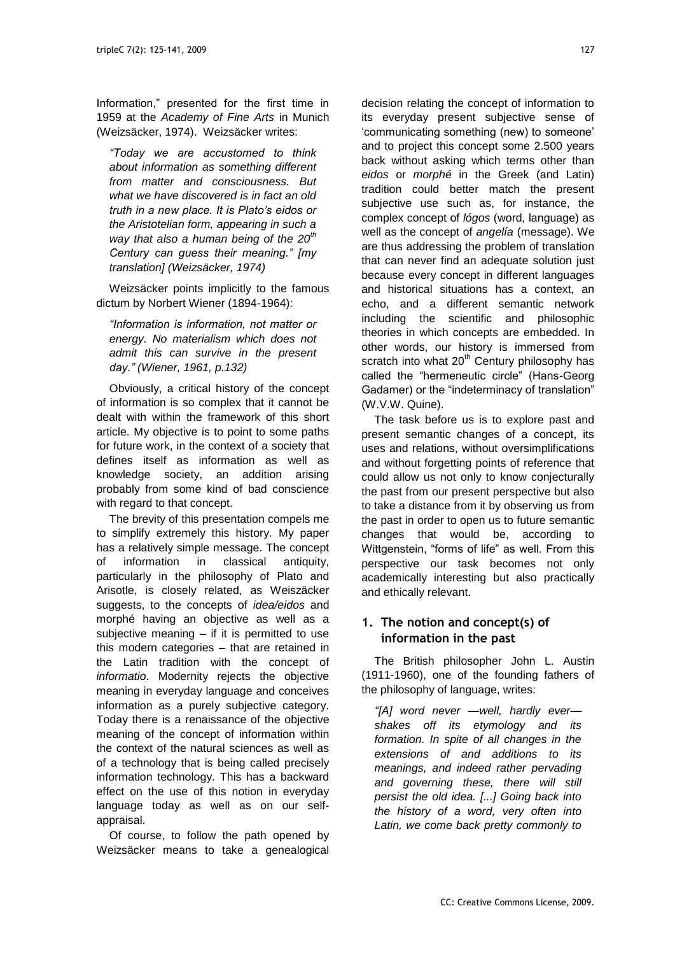Information," presented for the first time in 1959 at the *Academy of Fine Arts* in Munich (Weizsäcker, 1974). Weizsäcker writes:

*"Today we are accustomed to think about information as something different from matter and consciousness. But what we have discovered is in fact an old truth in a new place. It is Plato"s eidos or the Aristotelian form, appearing in such a way that also a human being of the 20th Century can guess their meaning." [my translation] (Weizsäcker, 1974)*

Weizsäcker points implicitly to the famous dictum by Norbert Wiener (1894-1964):

*"Information is information, not matter or energy. No materialism which does not admit this can survive in the present day." (Wiener, 1961, p.132)* 

Obviously, a critical history of the concept of information is so complex that it cannot be dealt with within the framework of this short article. My objective is to point to some paths for future work, in the context of a society that defines itself as information as well as knowledge society, an addition arising probably from some kind of bad conscience with regard to that concept.

The brevity of this presentation compels me to simplify extremely this history. My paper has a relatively simple message. The concept of information in classical antiquity, particularly in the philosophy of Plato and Arisotle, is closely related, as Weiszäcker suggests, to the concepts of *idea/eidos* and morphé having an objective as well as a subjective meaning  $-$  if it is permitted to use this modern categories – that are retained in the Latin tradition with the concept of *informatio*. Modernity rejects the objective meaning in everyday language and conceives information as a purely subjective category. Today there is a renaissance of the objective meaning of the concept of information within the context of the natural sciences as well as of a technology that is being called precisely information technology. This has a backward effect on the use of this notion in everyday language today as well as on our selfappraisal.

Of course, to follow the path opened by Weizsäcker means to take a genealogical decision relating the concept of information to its everyday present subjective sense of ‗communicating something (new) to someone' and to project this concept some 2.500 years back without asking which terms other than *eidos* or *morphé* in the Greek (and Latin) tradition could better match the present subjective use such as, for instance, the complex concept of *lógos* (word, language) as well as the concept of *angelía* (message). We are thus addressing the problem of translation that can never find an adequate solution just because every concept in different languages and historical situations has a context, an echo, and a different semantic network including the scientific and philosophic theories in which concepts are embedded. In other words, our history is immersed from scratch into what  $20<sup>th</sup>$  Century philosophy has called the "hermeneutic circle" (Hans-Georg Gadamer) or the "indeterminacy of translation" (W.V.W. Quine).

The task before us is to explore past and present semantic changes of a concept, its uses and relations, without oversimplifications and without forgetting points of reference that could allow us not only to know conjecturally the past from our present perspective but also to take a distance from it by observing us from the past in order to open us to future semantic changes that would be, according to Wittgenstein, "forms of life" as well. From this perspective our task becomes not only academically interesting but also practically and ethically relevant.

## **1. The notion and concept(s) of information in the past**

The British philosopher John L. Austin (1911-1960), one of the founding fathers of the philosophy of language, writes:

*"[A] word never —well, hardly ever shakes off its etymology and its formation. In spite of all changes in the extensions of and additions to its meanings, and indeed rather pervading and governing these, there will still persist the old idea. [...] Going back into the history of a word, very often into Latin, we come back pretty commonly to*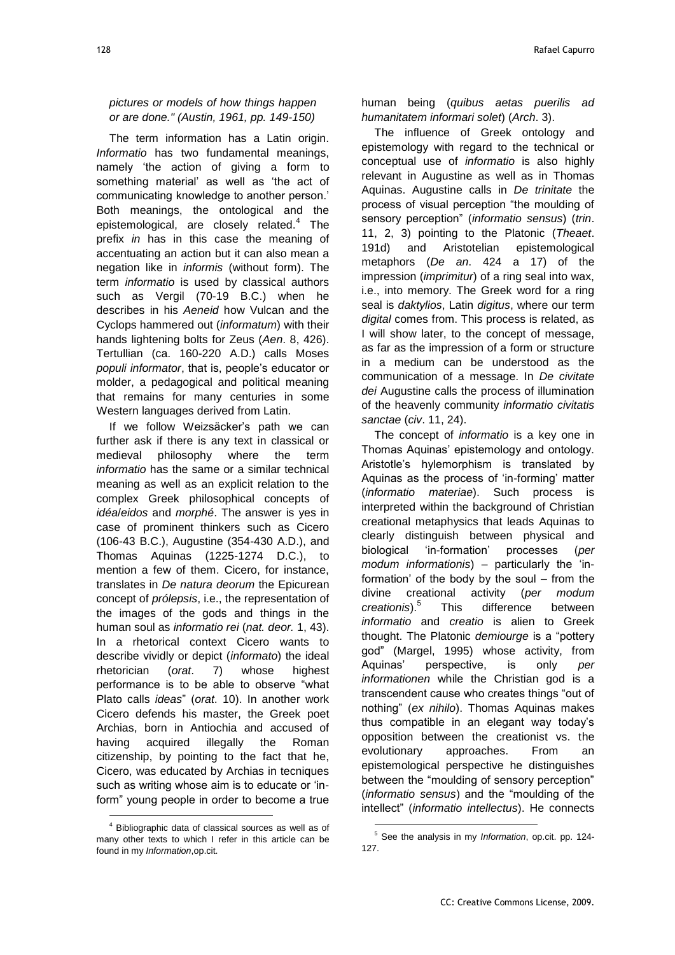*pictures or models of how things happen or are done." (Austin, 1961, pp. 149-150)*

The term information has a Latin origin. *Informatio* has two fundamental meanings, namely 'the action of giving a form to something material' as well as 'the act of communicating knowledge to another person.' Both meanings, the ontological and the epistemological, are closely related.<sup>4</sup> The prefix *in* has in this case the meaning of accentuating an action but it can also mean a negation like in *informis* (without form). The term *informatio* is used by classical authors such as Vergil (70-19 B.C.) when he describes in his *Aeneid* how Vulcan and the Cyclops hammered out (*informatum*) with their hands lightening bolts for Zeus (*Aen*. 8, 426). Tertullian (ca. 160-220 A.D.) calls Moses *populi informator*, that is, people's educator or molder, a pedagogical and political meaning that remains for many centuries in some Western languages derived from Latin.

If we follow Weizsäcker's path we can further ask if there is any text in classical or medieval philosophy where the term *informatio* has the same or a similar technical meaning as well as an explicit relation to the complex Greek philosophical concepts of *idéa*/*eidos* and *morphé*. The answer is yes in case of prominent thinkers such as Cicero (106-43 B.C.), Augustine (354-430 A.D.), and Thomas Aquinas (1225-1274 D.C.), to mention a few of them. Cicero, for instance, translates in *De natura deorum* the Epicurean concept of *prólepsis*, i.e., the representation of the images of the gods and things in the human soul as *informatio rei* (*nat. deor.* 1, 43). In a rhetorical context Cicero wants to describe vividly or depict (*informato*) the ideal rhetorician (*orat*. 7) whose highest performance is to be able to observe "what Plato calls *ideas*‖ (*orat*. 10). In another work Cicero defends his master, the Greek poet Archias, born in Antiochia and accused of having acquired illegally the Roman citizenship, by pointing to the fact that he, Cicero, was educated by Archias in tecniques such as writing whose aim is to educate or 'inform" young people in order to become a true

l

human being (*quibus aetas puerilis ad humanitatem informari solet*) (*Arch*. 3).

The influence of Greek ontology and epistemology with regard to the technical or conceptual use of *informatio* is also highly relevant in Augustine as well as in Thomas Aquinas. Augustine calls in *De trinitate* the process of visual perception "the moulding of sensory perception‖ (*informatio sensus*) (*trin*. 11, 2, 3) pointing to the Platonic (*Theaet*. 191d) and Aristotelian epistemological metaphors (*De an*. 424 a 17) of the impression (*imprimitur*) of a ring seal into wax, i.e., into memory. The Greek word for a ring seal is *daktylios*, Latin *digitus*, where our term *digital* comes from. This process is related, as I will show later, to the concept of message, as far as the impression of a form or structure in a medium can be understood as the communication of a message. In *De civitate dei* Augustine calls the process of illumination of the heavenly community *informatio civitatis sanctae* (*civ*. 11, 24).

The concept of *informatio* is a key one in Thomas Aquinas' epistemology and ontology. Aristotle's hylemorphism is translated by Aquinas as the process of 'in-forming' matter (*informatio materiae*). Such process is interpreted within the background of Christian creational metaphysics that leads Aquinas to clearly distinguish between physical and biological ‗in-formation' processes (*per modum informationis*) – particularly the ‗information' of the body by the soul – from the divine creational activity (*per modum creationis*).<sup>5</sup> This difference between *informatio* and *creatio* is alien to Greek thought. The Platonic *demiourge* is a "pottery god" (Margel, 1995) whose activity, from Aquinas' perspective, is only *per informationen* while the Christian god is a transcendent cause who creates things "out of nothing‖ (*ex nihilo*). Thomas Aquinas makes thus compatible in an elegant way today's opposition between the creationist vs. the evolutionary approaches. From an epistemological perspective he distinguishes between the "moulding of sensory perception" (*informatio* sensus) and the "moulding of the intellect‖ (*informatio intellectus*). He connects

<sup>4</sup> Bibliographic data of classical sources as well as of many other texts to which I refer in this article can be found in my *Information*,op.cit.

<sup>5</sup> See the analysis in my *Information*, op.cit. pp. 124- 127.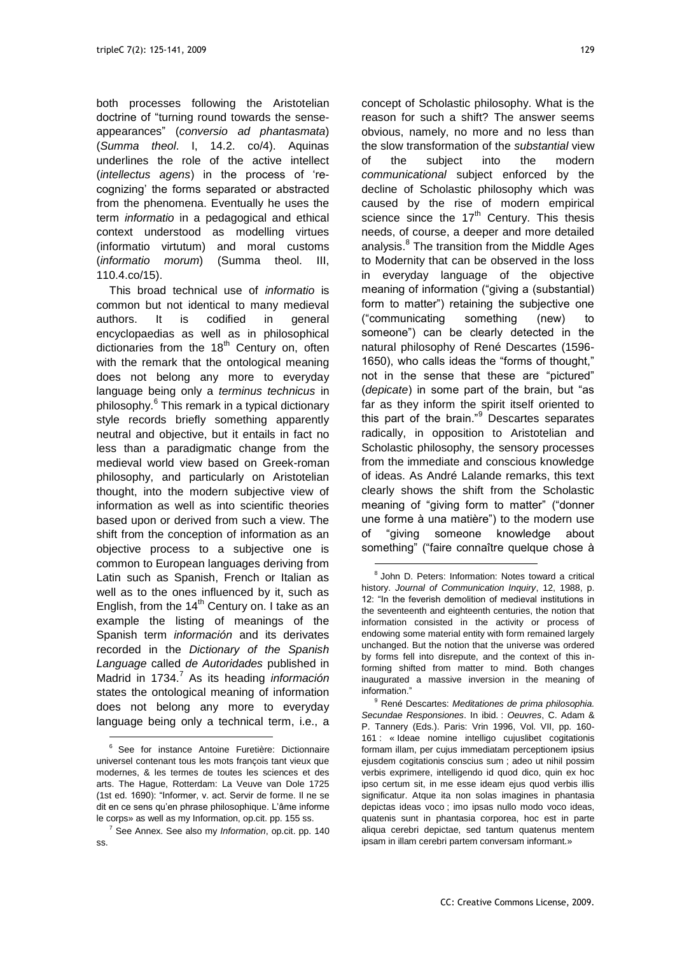both processes following the Aristotelian doctrine of "turning round towards the senseappearances‖ (*conversio ad phantasmata*) (*Summa theol*. I, 14.2. co/4). Aquinas underlines the role of the active intellect (*intellectus agens*) in the process of ‗recognizing' the forms separated or abstracted from the phenomena. Eventually he uses the term *informatio* in a pedagogical and ethical context understood as modelling virtues (informatio virtutum) and moral customs (*informatio morum*) (Summa theol. III, 110.4.co/15).

This broad technical use of *informatio* is common but not identical to many medieval authors. It is codified in general encyclopaedias as well as in philosophical dictionaries from the  $18<sup>th</sup>$  Century on, often with the remark that the ontological meaning does not belong any more to everyday language being only a *terminus technicus* in philosophy.<sup>6</sup> This remark in a typical dictionary style records briefly something apparently neutral and objective, but it entails in fact no less than a paradigmatic change from the medieval world view based on Greek-roman philosophy, and particularly on Aristotelian thought, into the modern subjective view of information as well as into scientific theories based upon or derived from such a view. The shift from the conception of information as an objective process to a subjective one is common to European languages deriving from Latin such as Spanish, French or Italian as well as to the ones influenced by it, such as English, from the  $14<sup>th</sup>$  Century on. I take as an example the listing of meanings of the Spanish term *información* and its derivates recorded in the *Dictionary of the Spanish Language* called *de Autoridades* published in Madrid in 1734.<sup>7</sup> As its heading *información* states the ontological meaning of information does not belong any more to everyday language being only a technical term, i.e., a

l

concept of Scholastic philosophy. What is the reason for such a shift? The answer seems obvious, namely, no more and no less than the slow transformation of the *substantial* view of the subject into the modern *communicational* subject enforced by the decline of Scholastic philosophy which was caused by the rise of modern empirical science since the  $17<sup>th</sup>$  Century. This thesis needs, of course, a deeper and more detailed analysis. 8 The transition from the Middle Ages to Modernity that can be observed in the loss in everyday language of the objective meaning of information ("giving a (substantial) form to matter") retaining the subjective one (―communicating something (new) to someone") can be clearly detected in the natural philosophy of René Descartes (1596- 1650), who calls ideas the "forms of thought," not in the sense that these are "pictured" (*depicate*) in some part of the brain, but "as far as they inform the spirit itself oriented to this part of the brain." $9$  Descartes separates radically, in opposition to Aristotelian and Scholastic philosophy, the sensory processes from the immediate and conscious knowledge of ideas. As André Lalande remarks, this text clearly shows the shift from the Scholastic meaning of "giving form to matter" ("donner une forme à una matière") to the modern use of "giving someone knowledge about something" ("faire connaître quelque chose à

 $\overline{a}$ 

<sup>&</sup>lt;sup>6</sup> See for instance Antoine Furetière: Dictionnaire universel contenant tous les mots françois tant vieux que modernes, & les termes de toutes les sciences et des arts. The Hague, Rotterdam: La Veuve van Dole 1725 (1st ed. 1690): "Informer, v. act. Servir de forme. Il ne se dit en ce sens qu'en phrase philosophique. L'âme informe le corps» as well as my Information, op.cit. pp. 155 ss.

<sup>7</sup> See Annex. See also my *Information*, op.cit. pp. 140 ss.

<sup>&</sup>lt;sup>8</sup> John D. Peters: Information: Notes toward a critical history. *Journal of Communication Inquiry*, 12, 1988, p. 12: "In the feverish demolition of medieval institutions in the seventeenth and eighteenth centuries, the notion that information consisted in the activity or process of endowing some material entity with form remained largely unchanged. But the notion that the universe was ordered by forms fell into disrepute, and the context of this informing shifted from matter to mind. Both changes inaugurated a massive inversion in the meaning of information<sup>"</sup>

<sup>9</sup> René Descartes: *Meditationes de prima philosophia. Secundae Responsiones*. In ibid. : *Oeuvres*, C. Adam & P. Tannery (Eds.). Paris: Vrin 1996, Vol. VII, pp. 160- 161 : « Ideae nomine intelligo cujuslibet cogitationis formam illam, per cujus immediatam perceptionem ipsius ejusdem cogitationis conscius sum ; adeo ut nihil possim verbis exprimere, intelligendo id quod dico, quin ex hoc ipso certum sit, in me esse ideam ejus quod verbis illis significatur. Atque ita non solas imagines in phantasia depictas ideas voco ; imo ipsas nullo modo voco ideas, quatenis sunt in phantasia corporea, hoc est in parte aliqua cerebri depictae, sed tantum quatenus mentem ipsam in illam cerebri partem conversam informant.»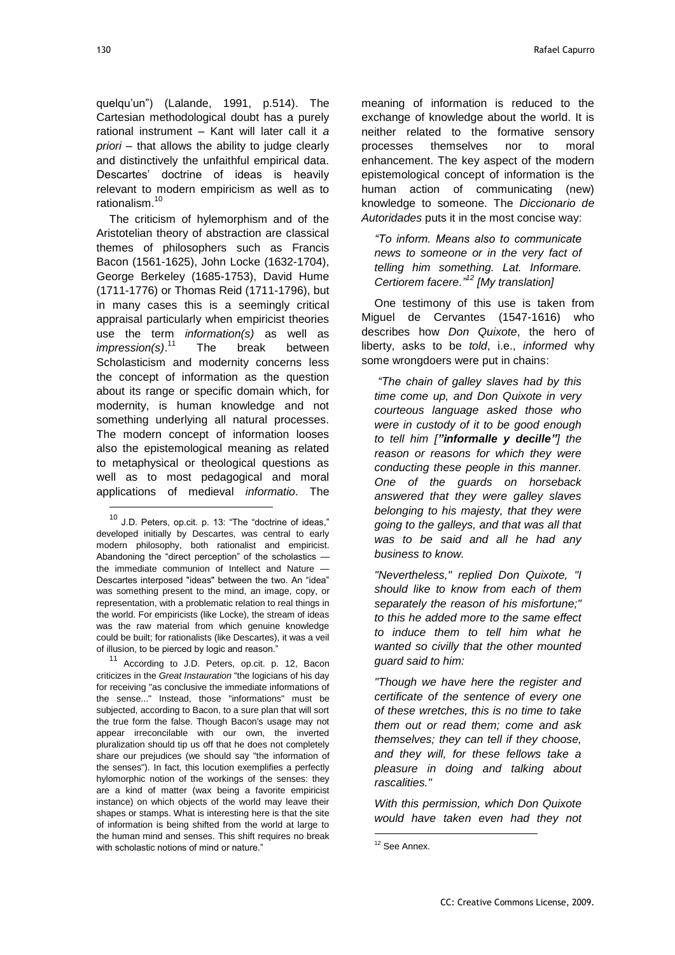l

quelqu'un") (Lalande, 1991, p.514). The Cartesian methodological doubt has a purely rational instrument – Kant will later call it *a priori* – that allows the ability to judge clearly and distinctively the unfaithful empirical data. Descartes' doctrine of ideas is heavily relevant to modern empiricism as well as to rationalism. 10

The criticism of hylemorphism and of the Aristotelian theory of abstraction are classical themes of philosophers such as Francis Bacon (1561-1625), John Locke (1632-1704), George Berkeley (1685-1753), David Hume (1711-1776) or Thomas Reid (1711-1796), but in many cases this is a seemingly critical appraisal particularly when empiricist theories use the term *information(s)* as well as *impression(s)*. The break between Scholasticism and modernity concerns less the concept of information as the question about its range or specific domain which, for modernity, is human knowledge and not something underlying all natural processes. The modern concept of information looses also the epistemological meaning as related to metaphysical or theological questions as well as to most pedagogical and moral applications of medieval *informatio*. The

<sup>11</sup> According to J.D. Peters, op.cit. p. 12, Bacon criticizes in the *Great Instauration* "the logicians of his day for receiving "as conclusive the immediate informations of the sense..." Instead, those "informations" must be subjected, according to Bacon, to a sure plan that will sort the true form the false. Though Bacon's usage may not appear irreconcilable with our own, the inverted pluralization should tip us off that he does not completely share our prejudices (we should say "the information of the senses"). In fact, this locution exemplifies a perfectly hylomorphic notion of the workings of the senses: they are a kind of matter (wax being a favorite empiricist instance) on which objects of the world may leave their shapes or stamps. What is interesting here is that the site of information is being shifted from the world at large to the human mind and senses. This shift requires no break with scholastic notions of mind or nature."

meaning of information is reduced to the exchange of knowledge about the world. It is neither related to the formative sensory processes themselves nor to moral enhancement. The key aspect of the modern epistemological concept of information is the human action of communicating (new) knowledge to someone. The *Diccionario de Autoridades* puts it in the most concise way:

*"To inform. Means also to communicate news to someone or in the very fact of telling him something. Lat. Informare. Certiorem facere."<sup>12</sup> [My translation]*

One testimony of this use is taken from Miguel de Cervantes (1547-1616) who describes how *Don Quixote*, the hero of liberty, asks to be *told*, i.e., *informed* why some wrongdoers were put in chains:

*"The chain of galley slaves had by this time come up, and Don Quixote in very courteous language asked those who were in custody of it to be good enough to tell him ["informalle y decille"] the reason or reasons for which they were conducting these people in this manner. One of the guards on horseback answered that they were galley slaves belonging to his majesty, that they were going to the galleys, and that was all that was to be said and all he had any business to know.*

*"Nevertheless," replied Don Quixote, "I should like to know from each of them separately the reason of his misfortune;" to this he added more to the same effect to induce them to tell him what he wanted so civilly that the other mounted guard said to him:*

*"Though we have here the register and certificate of the sentence of every one of these wretches, this is no time to take them out or read them; come and ask themselves; they can tell if they choose, and they will, for these fellows take a pleasure in doing and talking about rascalities."*

*With this permission, which Don Quixote would have taken even had they not* 

 $10$  J.D. Peters, op.cit. p. 13: "The "doctrine of ideas," developed initially by Descartes, was central to early modern philosophy, both rationalist and empiricist. Abandoning the "direct perception" of the scholastics the immediate communion of Intellect and Nature — Descartes interposed "ideas" between the two. An "idea" was something present to the mind, an image, copy, or representation, with a problematic relation to real things in the world. For empiricists (like Locke), the stream of ideas was the raw material from which genuine knowledge could be built; for rationalists (like Descartes), it was a veil of illusion, to be pierced by logic and reason."

<sup>&</sup>lt;sup>12</sup> See Annex.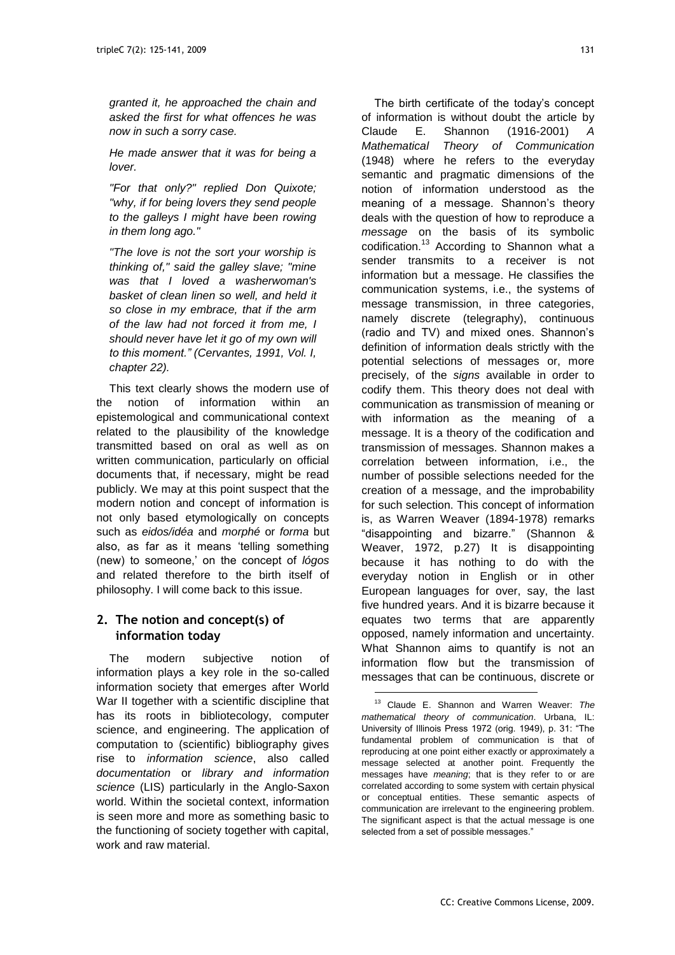*granted it, he approached the chain and asked the first for what offences he was now in such a sorry case.*

*He made answer that it was for being a lover.*

*"For that only?" replied Don Quixote; "why, if for being lovers they send people to the galleys I might have been rowing in them long ago."*

*"The love is not the sort your worship is thinking of," said the galley slave; "mine was that I loved a washerwoman's basket of clean linen so well, and held it so close in my embrace, that if the arm of the law had not forced it from me, I should never have let it go of my own will to this moment." (Cervantes, 1991, Vol. I, chapter 22).*

This text clearly shows the modern use of the notion of information within an epistemological and communicational context related to the plausibility of the knowledge transmitted based on oral as well as on written communication, particularly on official documents that, if necessary, might be read publicly. We may at this point suspect that the modern notion and concept of information is not only based etymologically on concepts such as *eidos/idéa* and *morphé* or *forma* but also, as far as it means 'telling something (new) to someone,' on the concept of *lógos* and related therefore to the birth itself of philosophy. I will come back to this issue.

## **2. The notion and concept(s) of information today**

The modern subjective notion of information plays a key role in the so-called information society that emerges after World War II together with a scientific discipline that has its roots in bibliotecology, computer science, and engineering. The application of computation to (scientific) bibliography gives rise to *information science*, also called *documentation* or *library and information science* (LIS) particularly in the Anglo-Saxon world. Within the societal context, information is seen more and more as something basic to the functioning of society together with capital, work and raw material.

The birth certificate of the today's concept of information is without doubt the article by Claude E. Shannon (1916-2001) *A Mathematical Theory of Communication* (1948) where he refers to the everyday semantic and pragmatic dimensions of the notion of information understood as the meaning of a message. Shannon's theory deals with the question of how to reproduce a *message* on the basis of its symbolic codification.<sup>13</sup> According to Shannon what a sender transmits to a receiver is not information but a message. He classifies the communication systems, i.e., the systems of message transmission, in three categories, namely discrete (telegraphy), continuous (radio and TV) and mixed ones. Shannon's definition of information deals strictly with the potential selections of messages or, more precisely, of the *signs* available in order to codify them. This theory does not deal with communication as transmission of meaning or with information as the meaning of a message. It is a theory of the codification and transmission of messages. Shannon makes a correlation between information, i.e., the number of possible selections needed for the creation of a message, and the improbability for such selection. This concept of information is, as Warren Weaver (1894-1978) remarks "disappointing and bizarre." (Shannon & Weaver, 1972, p.27) It is disappointing because it has nothing to do with the everyday notion in English or in other European languages for over, say, the last five hundred years. And it is bizarre because it equates two terms that are apparently opposed, namely information and uncertainty. What Shannon aims to quantify is not an information flow but the transmission of messages that can be continuous, discrete or

<sup>13</sup> Claude E. Shannon and Warren Weaver: *The mathematical theory of communication*. Urbana, IL: University of Illinois Press 1972 (orig. 1949), p. 31: "The fundamental problem of communication is that of reproducing at one point either exactly or approximately a message selected at another point. Frequently the messages have *meaning*; that is they refer to or are correlated according to some system with certain physical or conceptual entities. These semantic aspects of communication are irrelevant to the engineering problem. The significant aspect is that the actual message is one selected from a set of possible messages."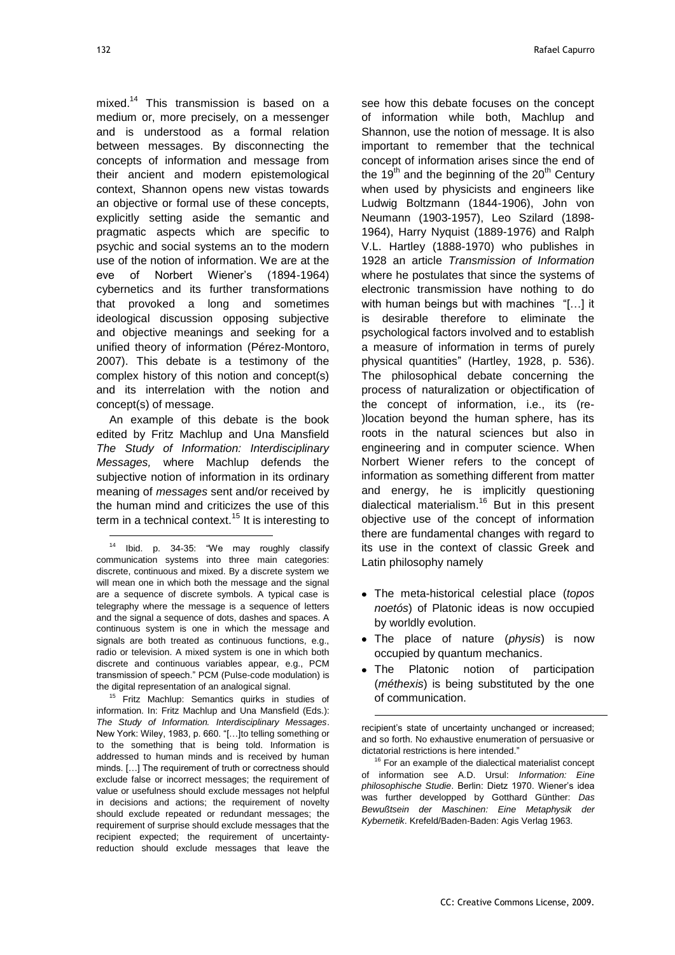l

mixed.<sup>14</sup> This transmission is based on a medium or, more precisely, on a messenger and is understood as a formal relation between messages. By disconnecting the concepts of information and message from their ancient and modern epistemological context, Shannon opens new vistas towards an objective or formal use of these concepts, explicitly setting aside the semantic and pragmatic aspects which are specific to psychic and social systems an to the modern use of the notion of information. We are at the eve of Norbert Wiener's (1894-1964) cybernetics and its further transformations that provoked a long and sometimes ideological discussion opposing subjective and objective meanings and seeking for a unified theory of information (Pérez-Montoro, 2007). This debate is a testimony of the complex history of this notion and concept(s) and its interrelation with the notion and concept(s) of message.

An example of this debate is the book edited by Fritz Machlup and Una Mansfield *The Study of Information: Interdisciplinary Messages,* where Machlup defends the subjective notion of information in its ordinary meaning of *messages* sent and/or received by the human mind and criticizes the use of this term in a technical context.<sup>15</sup> It is interesting to

<sup>15</sup> Fritz Machlup: Semantics quirks in studies of information. In: Fritz Machlup and Una Mansfield (Eds.): *The Study of Information. Interdisciplinary Messages*. New York: Wiley, 1983, p. 660. "[...] to telling something or to the something that is being told. Information is addressed to human minds and is received by human minds. […] The requirement of truth or correctness should exclude false or incorrect messages; the requirement of value or usefulness should exclude messages not helpful in decisions and actions; the requirement of novelty should exclude repeated or redundant messages; the requirement of surprise should exclude messages that the recipient expected; the requirement of uncertaintyreduction should exclude messages that leave the

see how this debate focuses on the concept of information while both, Machlup and Shannon, use the notion of message. It is also important to remember that the technical concept of information arises since the end of the 19<sup>th</sup> and the beginning of the  $20<sup>th</sup>$  Century when used by physicists and engineers like Ludwig Boltzmann (1844-1906), John von Neumann (1903-1957), Leo Szilard (1898- 1964), Harry Nyquist (1889-1976) and Ralph V.L. Hartley (1888-1970) who publishes in 1928 an article *Transmission of Information* where he postulates that since the systems of electronic transmission have nothing to do with human beings but with machines "[...] it is desirable therefore to eliminate the psychological factors involved and to establish a measure of information in terms of purely physical quantities" (Hartley, 1928, p. 536). The philosophical debate concerning the process of naturalization or objectification of the concept of information, i.e., its (re- )location beyond the human sphere, has its roots in the natural sciences but also in engineering and in computer science. When Norbert Wiener refers to the concept of information as something different from matter and energy, he is implicitly questioning dialectical materialism.<sup>16</sup> But in this present objective use of the concept of information there are fundamental changes with regard to its use in the context of classic Greek and Latin philosophy namely

- The meta-historical celestial place (*topos noetós*) of Platonic ideas is now occupied by worldly evolution.
- The place of nature (*physis*) is now occupied by quantum mechanics.
- The Platonic notion of participation (*méthexis*) is being substituted by the one of communication.

recipient's state of uncertainty unchanged or increased; and so forth. No exhaustive enumeration of persuasive or dictatorial restrictions is here intended."

 $\overline{a}$ 

 $16$  For an example of the dialectical materialist concept of information see A.D. Ursul: *Information: Eine philosophische Studie*. Berlin: Dietz 1970. Wiener's idea was further developped by Gotthard Günther: *Das Bewußtsein der Maschinen: Eine Metaphysik der Kybernetik*. Krefeld/Baden-Baden: Agis Verlag 1963.

 $14$  Ibid. p. 34-35: "We may roughly classify communication systems into three main categories: discrete, continuous and mixed. By a discrete system we will mean one in which both the message and the signal are a sequence of discrete symbols. A typical case is telegraphy where the message is a sequence of letters and the signal a sequence of dots, dashes and spaces. A continuous system is one in which the message and signals are both treated as continuous functions, e.g., radio or television. A mixed system is one in which both discrete and continuous variables appear, e.g., PCM transmission of speech." PCM (Pulse-code modulation) is the digital representation of an analogical signal.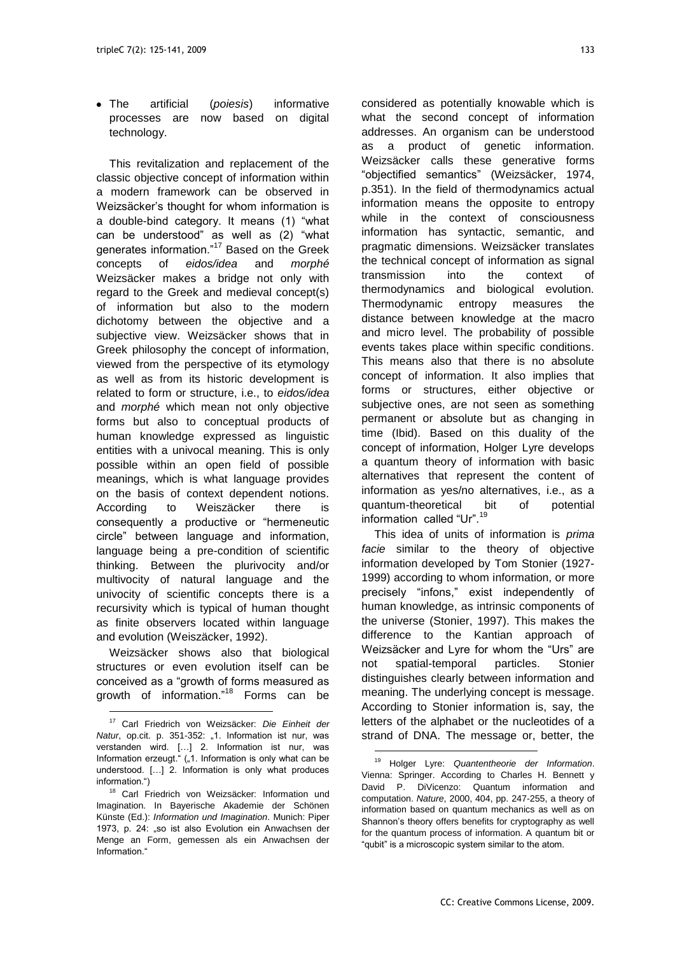The artificial (*poiesis*) informative processes are now based on digital technology.

This revitalization and replacement of the classic objective concept of information within a modern framework can be observed in Weizsäcker's thought for whom information is a double-bind category. It means (1) "what can be understood" as well as (2) "what generates information."<sup>17</sup> Based on the Greek concepts of *eidos/idea* and *morphé* Weizsäcker makes a bridge not only with regard to the Greek and medieval concept(s) of information but also to the modern dichotomy between the objective and a subjective view. Weizsäcker shows that in Greek philosophy the concept of information, viewed from the perspective of its etymology as well as from its historic development is related to form or structure, i.e., to *eidos/idea* and *morphé* which mean not only objective forms but also to conceptual products of human knowledge expressed as linguistic entities with a univocal meaning. This is only possible within an open field of possible meanings, which is what language provides on the basis of context dependent notions. According to Weiszäcker there is consequently a productive or "hermeneutic circle‖ between language and information, language being a pre-condition of scientific thinking. Between the plurivocity and/or multivocity of natural language and the univocity of scientific concepts there is a recursivity which is typical of human thought as finite observers located within language and evolution (Weiszäcker, 1992).

Weizsäcker shows also that biological structures or even evolution itself can be conceived as a "growth of forms measured as growth of information."<sup>18</sup> Forms can be

l

considered as potentially knowable which is what the second concept of information addresses. An organism can be understood as a product of genetic information. Weizsäcker calls these generative forms ―objectified semantics‖ (Weizsäcker, 1974, p.351). In the field of thermodynamics actual information means the opposite to entropy while in the context of consciousness information has syntactic, semantic, and pragmatic dimensions. Weizsäcker translates the technical concept of information as signal transmission into the context of thermodynamics and biological evolution. Thermodynamic entropy measures the distance between knowledge at the macro and micro level. The probability of possible events takes place within specific conditions. This means also that there is no absolute concept of information. It also implies that forms or structures, either objective or subjective ones, are not seen as something permanent or absolute but as changing in time (Ibid). Based on this duality of the concept of information, Holger Lyre develops a quantum theory of information with basic alternatives that represent the content of information as yes/no alternatives, i.e., as a quantum-theoretical bit of potential information called "Ur".<sup>19</sup>

This idea of units of information is *prima facie* similar to the theory of objective information developed by Tom Stonier (1927- 1999) according to whom information, or more precisely "infons," exist independently of human knowledge, as intrinsic components of the universe (Stonier, 1997). This makes the difference to the Kantian approach of Weizsäcker and Lyre for whom the "Urs" are not spatial-temporal particles. Stonier distinguishes clearly between information and meaning. The underlying concept is message. According to Stonier information is, say, the letters of the alphabet or the nucleotides of a strand of DNA. The message or, better, the

 $\overline{a}$ 

<sup>17</sup> Carl Friedrich von Weizsäcker: *Die Einheit der Natur*, op.cit. p. 351-352: "1. Information ist nur, was verstanden wird. […] 2. Information ist nur, was Information erzeugt." ("1. Information is only what can be understood. […] 2. Information is only what produces information.")

<sup>&</sup>lt;sup>18</sup> Carl Friedrich von Weizsäcker: Information und Imagination. In Bayerische Akademie der Schönen Künste (Ed.): *Information und Imagination*. Munich: Piper 1973, p. 24: "so ist also Evolution ein Anwachsen der Menge an Form, gemessen als ein Anwachsen der Information<sup>®</sup>

<sup>19</sup> Holger Lyre: *Quantentheorie der Information*. Vienna: Springer. According to Charles H. Bennett y David P. DiVicenzo: Quantum information and computation. *Nature*, 2000, 404, pp. 247-255, a theory of information based on quantum mechanics as well as on Shannon's theory offers benefits for cryptography as well for the quantum process of information. A quantum bit or "qubit" is a microscopic system similar to the atom.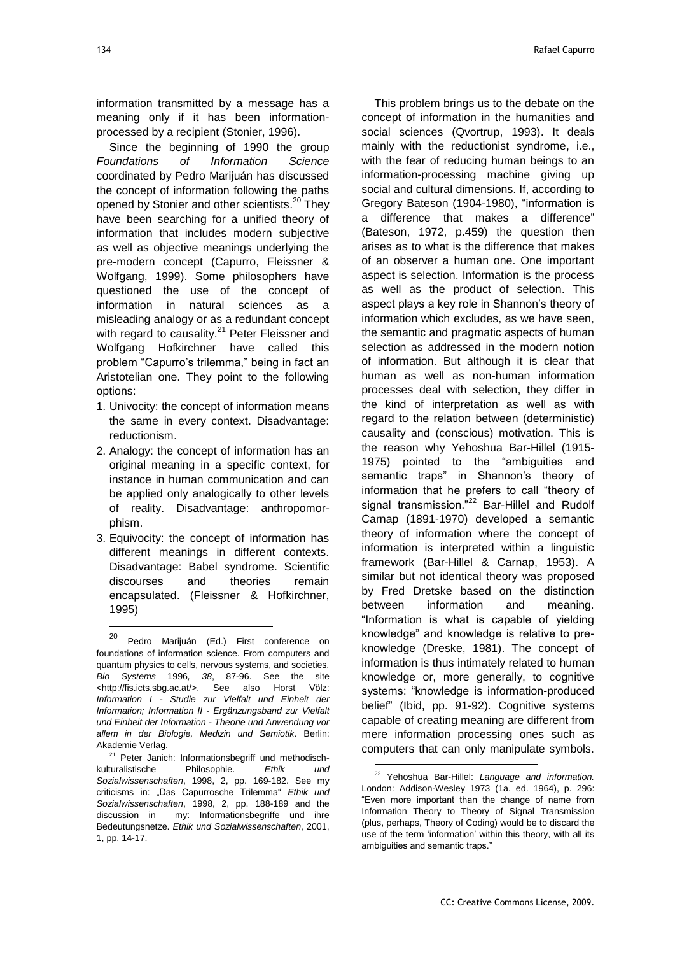information transmitted by a message has a meaning only if it has been informationprocessed by a recipient (Stonier, 1996).

Since the beginning of 1990 the group *Foundations of Information Science* coordinated by Pedro Marijuán has discussed the concept of information following the paths opened by Stonier and other scientists.<sup>20</sup> They have been searching for a unified theory of information that includes modern subjective as well as objective meanings underlying the pre-modern concept (Capurro, Fleissner & Wolfgang, 1999). Some philosophers have questioned the use of the concept of information in natural sciences as a misleading analogy or as a redundant concept with regard to causality.<sup>21</sup> Peter Fleissner and Wolfgang Hofkirchner have called this problem "Capurro's trilemma," being in fact an Aristotelian one. They point to the following options:

- 1. Univocity: the concept of information means the same in every context. Disadvantage: reductionism.
- 2. Analogy: the concept of information has an original meaning in a specific context, for instance in human communication and can be applied only analogically to other levels of reality. Disadvantage: anthropomorphism.
- 3. Equivocity: the concept of information has different meanings in different contexts. Disadvantage: Babel syndrome. Scientific discourses and theories remain encapsulated. (Fleissner & Hofkirchner, 1995)

l

This problem brings us to the debate on the concept of information in the humanities and social sciences (Qvortrup, 1993). It deals mainly with the reductionist syndrome, i.e., with the fear of reducing human beings to an information-processing machine giving up social and cultural dimensions. If, according to Gregory Bateson (1904-1980), "information is a difference that makes a difference" (Bateson, 1972, p.459) the question then arises as to what is the difference that makes of an observer a human one. One important aspect is selection. Information is the process as well as the product of selection. This aspect plays a key role in Shannon's theory of information which excludes, as we have seen, the semantic and pragmatic aspects of human selection as addressed in the modern notion of information. But although it is clear that human as well as non-human information processes deal with selection, they differ in the kind of interpretation as well as with regard to the relation between (deterministic) causality and (conscious) motivation. This is the reason why Yehoshua Bar-Hillel (1915- 1975) pointed to the "ambiguities and semantic traps" in Shannon's theory of information that he prefers to call "theory of signal transmission."<sup>22</sup> Bar-Hillel and Rudolf Carnap (1891-1970) developed a semantic theory of information where the concept of information is interpreted within a linguistic framework (Bar-Hillel & Carnap, 1953). A similar but not identical theory was proposed by Fred Dretske based on the distinction between information and meaning. "Information is what is capable of yielding knowledge‖ and knowledge is relative to preknowledge (Dreske, 1981). The concept of information is thus intimately related to human knowledge or, more generally, to cognitive systems: "knowledge is information-produced belief" (Ibid, pp. 91-92). Cognitive systems capable of creating meaning are different from mere information processing ones such as computers that can only manipulate symbols.

<sup>&</sup>lt;sup>20</sup> Pedro Marijuán (Ed.) First conference on foundations of information science. From computers and quantum physics to cells, nervous systems, and societies. *Bio Systems* 1996*, 38*, 87-96. See the site <http://fis.icts.sbg.ac.at/>. See also Horst Völz: *Information I - Studie zur Vielfalt und Einheit der Information; Information II - Ergänzungsband zur Vielfalt und Einheit der Information - Theorie und Anwendung vor allem in der Biologie, Medizin und Semiotik*. Berlin: Akademie Verlag.

<sup>&</sup>lt;sup>21</sup> Peter Janich: Informationsbegriff und methodischkulturalistische Philosophie. *Ethik und Sozialwissenschaften*, 1998, 2, pp. 169-182. See my criticisms in: "Das Capurrosche Trilemma" Ethik und *Sozialwissenschaften*, 1998, 2, pp. 188-189 and the discussion in my: Informationsbegriffe und ihre Bedeutungsnetze. *Ethik und Sozialwissenschaften*, 2001, 1, pp. 14-17.

<sup>22</sup> Yehoshua Bar-Hillel: *Language and information.*  London: Addison-Wesley 1973 (1a. ed. 1964), p. 296: ―Even more important than the change of name from Information Theory to Theory of Signal Transmission (plus, perhaps, Theory of Coding) would be to discard the use of the term 'information' within this theory, with all its ambiguities and semantic traps."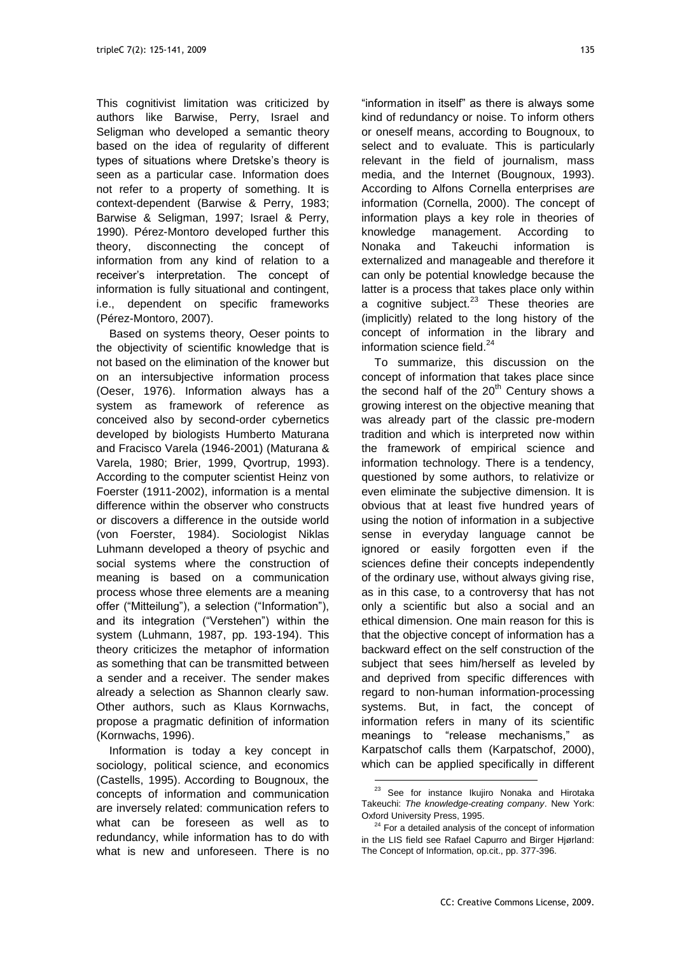This cognitivist limitation was criticized by authors like Barwise, Perry, Israel and Seligman who developed a semantic theory based on the idea of regularity of different types of situations where Dretske's theory is seen as a particular case. Information does not refer to a property of something. It is context-dependent (Barwise & Perry, 1983; Barwise & Seligman, 1997; Israel & Perry, 1990). Pérez-Montoro developed further this theory, disconnecting the concept of information from any kind of relation to a receiver's interpretation. The concept of information is fully situational and contingent, i.e., dependent on specific frameworks (Pérez-Montoro, 2007).

Based on systems theory, Oeser points to the objectivity of scientific knowledge that is not based on the elimination of the knower but on an intersubjective information process (Oeser, 1976). Information always has a system as framework of reference as conceived also by second-order cybernetics developed by biologists Humberto Maturana and Fracisco Varela (1946-2001) (Maturana & Varela, 1980; Brier, 1999, Qvortrup, 1993). According to the computer scientist Heinz von Foerster (1911-2002), information is a mental difference within the observer who constructs or discovers a difference in the outside world (von Foerster, 1984). Sociologist Niklas Luhmann developed a theory of psychic and social systems where the construction of meaning is based on a communication process whose three elements are a meaning offer ("Mitteilung"), a selection ("Information"), and its integration ("Verstehen") within the system (Luhmann, 1987, pp. 193-194). This theory criticizes the metaphor of information as something that can be transmitted between a sender and a receiver. The sender makes already a selection as Shannon clearly saw. Other authors, such as Klaus Kornwachs, propose a pragmatic definition of information (Kornwachs, 1996).

Information is today a key concept in sociology, political science, and economics (Castells, 1995). According to Bougnoux, the concepts of information and communication are inversely related: communication refers to what can be foreseen as well as to redundancy, while information has to do with what is new and unforeseen. There is no

"information in itself" as there is always some kind of redundancy or noise. To inform others or oneself means, according to Bougnoux, to select and to evaluate. This is particularly relevant in the field of journalism, mass media, and the Internet (Bougnoux, 1993). According to Alfons Cornella enterprises *are* information (Cornella, 2000). The concept of information plays a key role in theories of knowledge management. According to Nonaka and Takeuchi information is externalized and manageable and therefore it can only be potential knowledge because the latter is a process that takes place only within a cognitive subject. $23$  These theories are (implicitly) related to the long history of the concept of information in the library and information science field. 24

To summarize, this discussion on the concept of information that takes place since the second half of the  $20<sup>th</sup>$  Century shows a growing interest on the objective meaning that was already part of the classic pre-modern tradition and which is interpreted now within the framework of empirical science and information technology. There is a tendency, questioned by some authors, to relativize or even eliminate the subjective dimension. It is obvious that at least five hundred years of using the notion of information in a subjective sense in everyday language cannot be ignored or easily forgotten even if the sciences define their concepts independently of the ordinary use, without always giving rise, as in this case, to a controversy that has not only a scientific but also a social and an ethical dimension. One main reason for this is that the objective concept of information has a backward effect on the self construction of the subject that sees him/herself as leveled by and deprived from specific differences with regard to non-human information-processing systems. But, in fact, the concept of information refers in many of its scientific meanings to "release mechanisms," as Karpatschof calls them (Karpatschof, 2000), which can be applied specifically in different

<sup>&</sup>lt;sup>23</sup> See for instance Ikujiro Nonaka and Hirotaka Takeuchi: *The knowledge-creating company*. New York: Oxford University Press, 1995.

 $24$  For a detailed analysis of the concept of information in the LIS field see Rafael Capurro and Birger Hjørland: The Concept of Information, op.cit., pp. 377-396.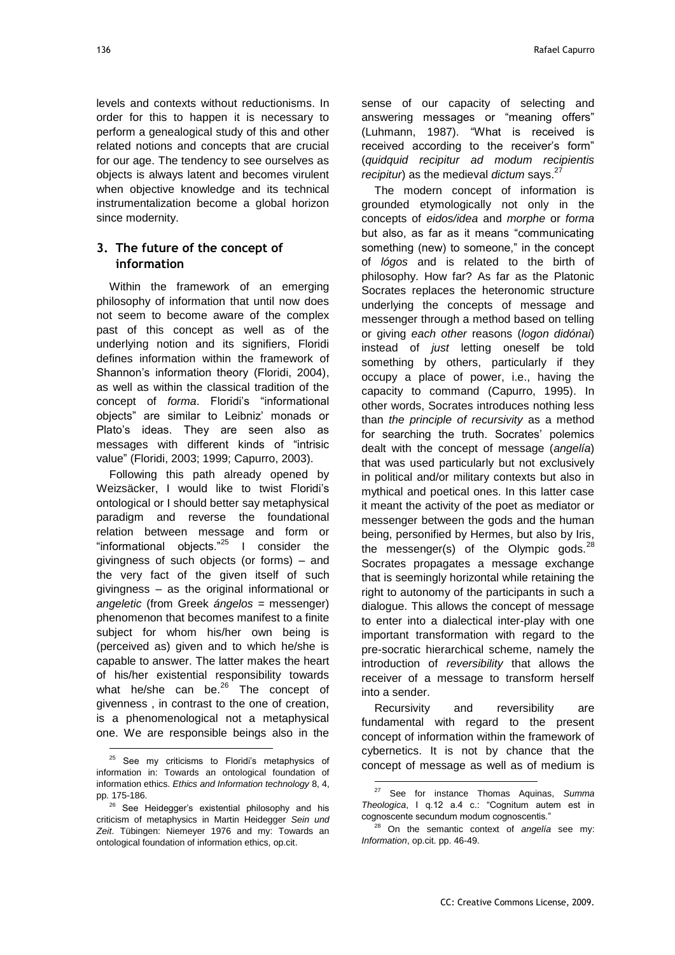levels and contexts without reductionisms. In order for this to happen it is necessary to perform a genealogical study of this and other related notions and concepts that are crucial for our age. The tendency to see ourselves as objects is always latent and becomes virulent when objective knowledge and its technical instrumentalization become a global horizon since modernity.

## **3. The future of the concept of information**

Within the framework of an emerging philosophy of information that until now does not seem to become aware of the complex past of this concept as well as of the underlying notion and its signifiers, Floridi defines information within the framework of Shannon's information theory (Floridi, 2004), as well as within the classical tradition of the concept of *forma*. Floridi's "informational objects‖ are similar to Leibniz' monads or Plato's ideas. They are seen also as messages with different kinds of "intrisic value‖ (Floridi, 2003; 1999; Capurro, 2003).

Following this path already opened by Weizsäcker, I would like to twist Floridi's ontological or I should better say metaphysical paradigm and reverse the foundational relation between message and form or "informational objects. $n^{25}$  I consider the givingness of such objects (or forms) – and the very fact of the given itself of such givingness – as the original informational or *angeletic* (from Greek *ángelos* = messenger) phenomenon that becomes manifest to a finite subject for whom his/her own being is (perceived as) given and to which he/she is capable to answer. The latter makes the heart of his/her existential responsibility towards what he/she can be.<sup>26</sup> The concept of givenness , in contrast to the one of creation, is a phenomenological not a metaphysical one. We are responsible beings also in the

l

sense of our capacity of selecting and answering messages or "meaning offers" (Luhmann, 1987). "What is received is received according to the receiver's form" (*quidquid recipitur ad modum recipientis recipitur*) as the medieval *dictum* says. 27

The modern concept of information is grounded etymologically not only in the concepts of *eidos/idea* and *morphe* or *forma* but also, as far as it means "communicating something (new) to someone," in the concept of *lógos* and is related to the birth of philosophy. How far? As far as the Platonic Socrates replaces the heteronomic structure underlying the concepts of message and messenger through a method based on telling or giving *each other* reasons (*logon didónai*) instead of *just* letting oneself be told something by others, particularly if they occupy a place of power, i.e., having the capacity to command (Capurro, 1995). In other words, Socrates introduces nothing less than *the principle of recursivity* as a method for searching the truth. Socrates' polemics dealt with the concept of message (*angelía*) that was used particularly but not exclusively in political and/or military contexts but also in mythical and poetical ones. In this latter case it meant the activity of the poet as mediator or messenger between the gods and the human being, personified by Hermes, but also by Iris, the messenger(s) of the Olympic gods. $^{28}$ Socrates propagates a message exchange that is seemingly horizontal while retaining the right to autonomy of the participants in such a dialogue. This allows the concept of message to enter into a dialectical inter-play with one important transformation with regard to the pre-socratic hierarchical scheme, namely the introduction of *reversibility* that allows the receiver of a message to transform herself into a sender.

Recursivity and reversibility are fundamental with regard to the present concept of information within the framework of cybernetics. It is not by chance that the concept of message as well as of medium is

<sup>&</sup>lt;sup>25</sup> See my criticisms to Floridi's metaphysics of information in: Towards an ontological foundation of information ethics. *Ethics and Information technology* 8, 4, pp. 175-186.

<sup>&</sup>lt;sup>26</sup> See Heidegger's existential philosophy and his criticism of metaphysics in Martin Heidegger *Sein und Zeit*. Tübingen: Niemeyer 1976 and my: Towards an ontological foundation of information ethics, op.cit.

<sup>27</sup> See for instance Thomas Aquinas, *Summa Theologica*, I q.12 a.4 c.: "Cognitum autem est in cognoscente secundum modum cognoscentis."

<sup>28</sup> On the semantic context of *angelía* see my: *Information*, op.cit. pp. 46-49.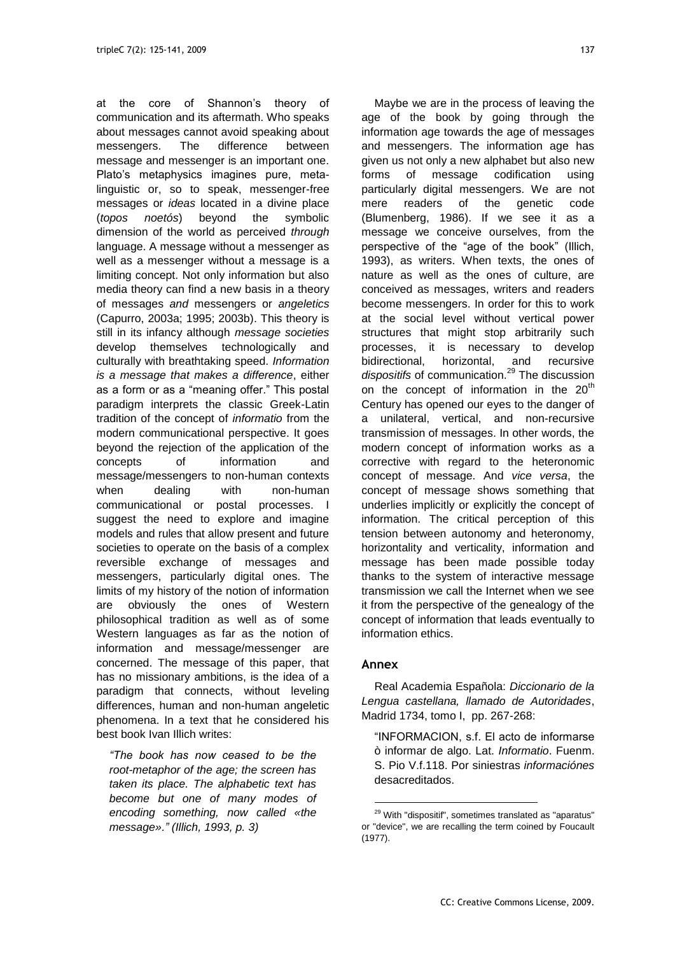at the core of Shannon's theory of communication and its aftermath. Who speaks about messages cannot avoid speaking about messengers. The difference between message and messenger is an important one. Plato's metaphysics imagines pure, metalinguistic or, so to speak, messenger-free messages or *ideas* located in a divine place (*topos noetós*) beyond the symbolic dimension of the world as perceived *through* language. A message without a messenger as well as a messenger without a message is a limiting concept. Not only information but also media theory can find a new basis in a theory of messages *and* messengers or *angeletics* (Capurro, 2003a; 1995; 2003b). This theory is still in its infancy although *message societies* develop themselves technologically and culturally with breathtaking speed. *Information is a message that makes a difference*, either as a form or as a "meaning offer." This postal paradigm interprets the classic Greek-Latin tradition of the concept of *informatio* from the modern communicational perspective. It goes beyond the rejection of the application of the concepts of information and message/messengers to non-human contexts when dealing with non-human communicational or postal processes. I suggest the need to explore and imagine models and rules that allow present and future societies to operate on the basis of a complex reversible exchange of messages and messengers, particularly digital ones. The limits of my history of the notion of information are obviously the ones of Western philosophical tradition as well as of some Western languages as far as the notion of information and message/messenger are concerned. The message of this paper, that has no missionary ambitions, is the idea of a paradigm that connects, without leveling differences, human and non-human angeletic phenomena. In a text that he considered his best book Ivan Illich writes:

*"The book has now ceased to be the root-metaphor of the age; the screen has taken its place. The alphabetic text has become but one of many modes of encoding something, now called «the message»." (Illich, 1993, p. 3)*

Maybe we are in the process of leaving the age of the book by going through the information age towards the age of messages and messengers. The information age has given us not only a new alphabet but also new forms of message codification using particularly digital messengers. We are not mere readers of the genetic code (Blumenberg, 1986). If we see it as a message we conceive ourselves, from the perspective of the "age of the book" (Illich, 1993), as writers. When texts, the ones of nature as well as the ones of culture, are conceived as messages, writers and readers become messengers. In order for this to work at the social level without vertical power structures that might stop arbitrarily such processes, it is necessary to develop bidirectional, horizontal, and recursive dispositifs of communication.<sup>29</sup> The discussion on the concept of information in the  $20<sup>th</sup>$ Century has opened our eyes to the danger of a unilateral, vertical, and non-recursive transmission of messages. In other words, the modern concept of information works as a corrective with regard to the heteronomic concept of message. And *vice versa*, the concept of message shows something that underlies implicitly or explicitly the concept of information. The critical perception of this tension between autonomy and heteronomy, horizontality and verticality, information and message has been made possible today thanks to the system of interactive message transmission we call the Internet when we see it from the perspective of the genealogy of the concept of information that leads eventually to information ethics.

### **Annex**

-

Real Academia Española: *Diccionario de la Lengua castellana, llamado de Autoridades*, Madrid 1734, tomo I, pp. 267-268:

"INFORMACION, s.f. El acto de informarse ò informar de algo. Lat. *Informatio*. Fuenm. S. Pio V.f.118. Por siniestras *informaciónes* desacreditados.

<sup>29</sup> With "dispositif", sometimes translated as "aparatus" or "device", we are recalling the term coined by Foucault (1977).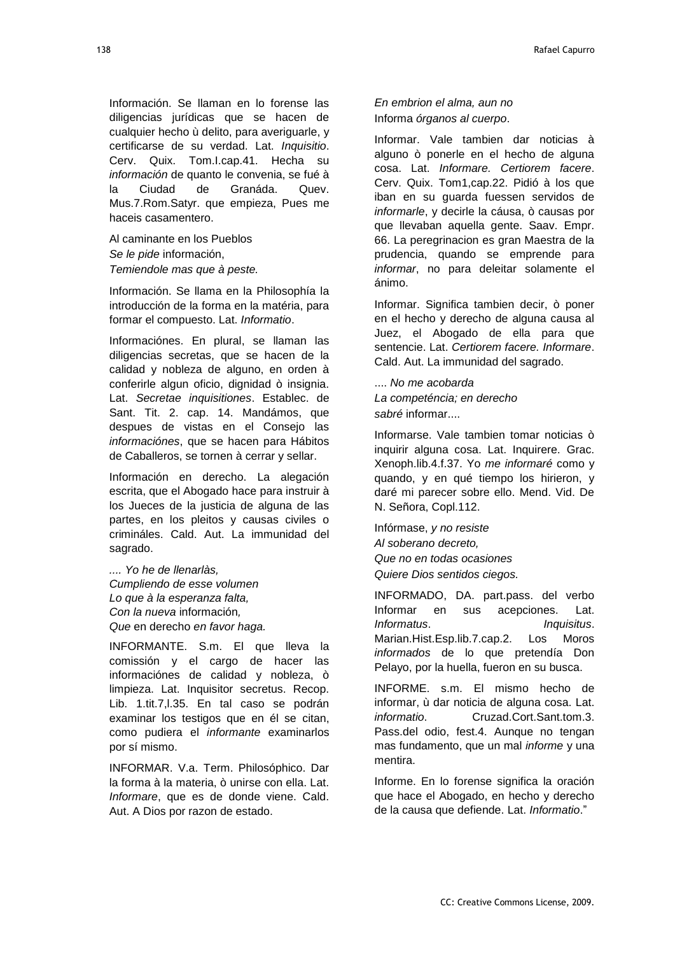Información. Se llaman en lo forense las diligencias jurídicas que se hacen de cualquier hecho ù delito, para averiguarle, y certificarse de su verdad. Lat. *Inquisitio*. Cerv. Quix. Tom.I.cap.41. Hecha su *información* de quanto le convenia, se fué à la Ciudad de Granáda. Quev. Mus.7.Rom.Satyr. que empieza, Pues me haceis casamentero.

Al caminante en los Pueblos *Se le pide* información, *Temiendole mas que à peste.*

Información. Se llama en la Philosophía la introducción de la forma en la matéria, para formar el compuesto. Lat. *Informatio*.

Informaciónes. En plural, se llaman las diligencias secretas, que se hacen de la calidad y nobleza de alguno, en orden à conferirle algun oficio, dignidad ò insignia. Lat. *Secretae inquisitiones*. Establec. de Sant. Tit. 2. cap. 14. Mandámos, que despues de vistas en el Consejo las *informaciónes*, que se hacen para Hábitos de Caballeros, se tornen à cerrar y sellar.

Información en derecho. La alegación escrita, que el Abogado hace para instruir à los Jueces de la justicia de alguna de las partes, en los pleitos y causas civiles o crimináles. Cald. Aut. La immunidad del sagrado.

*.... Yo he de llenarlàs, Cumpliendo de esse volumen Lo que à la esperanza falta, Con la nueva* información*, Que* en derecho *en favor haga.*

INFORMANTE. S.m. El que lleva la comissión y el cargo de hacer las informaciónes de calidad y nobleza, ò limpieza. Lat. Inquisitor secretus. Recop. Lib. 1.tit.7,l.35. En tal caso se podrán examinar los testigos que en él se citan, como pudiera el *informante* examinarlos por sí mismo.

INFORMAR. V.a. Term. Philosóphico. Dar la forma à la materia, ò unirse con ella. Lat. *Informare*, que es de donde viene. Cald. Aut. A Dios por razon de estado.

*En embrion el alma, aun no* Informa *órganos al cuerpo*.

Informar. Vale tambien dar noticias à alguno ò ponerle en el hecho de alguna cosa. Lat. *Informare. Certiorem facere*. Cerv. Quix. Tom1,cap.22. Pidió à los que iban en su guarda fuessen servidos de *informarle*, y decirle la cáusa, ò causas por que llevaban aquella gente. Saav. Empr. 66. La peregrinacion es gran Maestra de la prudencia, quando se emprende para *informar*, no para deleitar solamente el ánimo.

Informar. Significa tambien decir, ò poner en el hecho y derecho de alguna causa al Juez, el Abogado de ella para que sentencie. Lat. *Certiorem facere. Informare*. Cald. Aut. La immunidad del sagrado.

.... *No me acobarda La competéncia; en derecho sabré* informar....

Informarse. Vale tambien tomar noticias ò inquirir alguna cosa. Lat. Inquirere. Grac. Xenoph.lib.4.f.37. Yo *me informaré* como y quando, y en qué tiempo los hirieron, y daré mi parecer sobre ello. Mend. Vid. De N. Señora, Copl.112.

Infórmase, *y no resiste Al soberano decreto, Que no en todas ocasiones Quiere Dios sentidos ciegos.*

INFORMADO, DA. part.pass. del verbo Informar en sus acepciones. Lat. *Informatus*. *Inquisitus*. Marian.Hist.Esp.lib.7.cap.2. Los Moros *informados* de lo que pretendía Don Pelayo, por la huella, fueron en su busca.

INFORME. s.m. El mismo hecho de informar, ù dar noticia de alguna cosa. Lat. *informatio*. Cruzad.Cort.Sant.tom.3. Pass.del odio, fest.4. Aunque no tengan mas fundamento, que un mal *informe* y una mentira.

Informe. En lo forense significa la oración que hace el Abogado, en hecho y derecho de la causa que defiende. Lat. *Informatio*.‖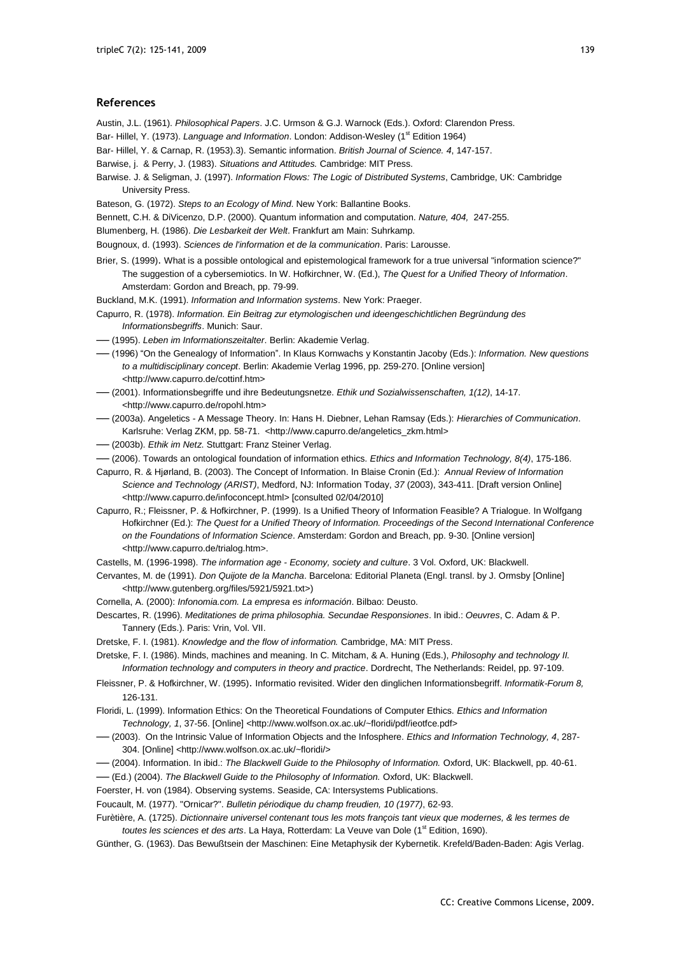#### **References**

Austin, J.L. (1961). *Philosophical Papers*. J.C. Urmson & G.J. Warnock (Eds.). Oxford: Clarendon Press.

- Bar- Hillel, Y. (1973). *Language and Information*. London: Addison-Wesley (1<sup>st</sup> Edition 1964)
- Bar- Hillel, Y. & Carnap, R. (1953).3). Semantic information. *British Journal of Science. 4*, 147-157.

Barwise, j. & Perry, J. (1983). *Situations and Attitudes.* Cambridge: MIT Press.

- Barwise. J. & Seligman, J. (1997). *Information Flows: The Logic of Distributed Systems*, Cambridge, UK: Cambridge University Press.
- Bateson, G. (1972). *Steps to an Ecology of Mind*. New York: Ballantine Books.
- Bennett, C.H. & DiVicenzo, D.P. (2000). Quantum information and computation. *Nature, 404,* 247-255.
- Blumenberg, H. (1986). *Die Lesbarkeit der Welt*. Frankfurt am Main: Suhrkamp.
- Bougnoux, d. (1993). *Sciences de l'information et de la communication*. Paris: Larousse.
- Brier, S. (1999). What is a possible ontological and epistemological framework for a true universal "information science?" The suggestion of a cybersemiotics. In W. Hofkirchner, W. (Ed.), *The Quest for a Unified Theory of Information*. Amsterdam: Gordon and Breach, pp. 79-99.
- Buckland, M.K. (1991). *Information and Information systems*. New York: Praeger.
- Capurro, R. (1978). *Information. Ein Beitrag zur etymologischen und ideengeschichtlichen Begründung des Informationsbegriffs*. Munich: Saur.
- ── (1995). *Leben im Informationszeitalter*. Berlin: Akademie Verlag.
- ── (1996) ―On the Genealogy of Information‖. In Klaus Kornwachs y Konstantin Jacoby (Eds.): *Information. New questions to a multidisciplinary concept*. Berlin: Akademie Verlag 1996, pp. 259-270. [Online version] <http://www.capurro.de/cottinf.htm>
- ── (2001). Informationsbegriffe und ihre Bedeutungsnetze. *Ethik und Sozialwissenschaften, 1(12)*, 14-17. <http://www.capurro.de/ropohl.htm>
- ── (2003a). Angeletics A Message Theory. In: Hans H. Diebner, Lehan Ramsay (Eds.): *Hierarchies of Communication*. Karlsruhe: Verlag ZKM, pp. 58-71. <http://www.capurro.de/angeletics\_zkm.html>
- ── (2003b). *Ethik im Netz*. Stuttgart: Franz Steiner Verlag.
- ── (2006). Towards an ontological foundation of information ethics. *Ethics and Information Technology, 8(4)*, 175-186.
- Capurro, R. & Hjørland, B. (2003). The Concept of Information. In Blaise Cronin (Ed.): *Annual Review of Information Science and Technology (ARIST)*, Medford, NJ: Information Today, *37* (2003), 343-411. [Draft version Online] <http://www.capurro.de/infoconcept.html> [consulted 02/04/2010]
- Capurro, R.; Fleissner, P. & Hofkirchner, P. (1999). Is a Unified Theory of Information Feasible? A Trialogue. In Wolfgang Hofkirchner (Ed.): *The Quest for a Unified Theory of Information. Proceedings of the Second International Conference on the Foundations of Information Science*. Amsterdam: Gordon and Breach, pp. 9-30. [Online version] [<http://www.capurro.de/trialog.htm>](http://www.capurro.de/trialog.htm).
- Castells, M. (1996-1998). *The information age - Economy, society and culture*. 3 Vol. Oxford, UK: Blackwell.
- Cervantes, M. de (1991). *Don Quijote de la Mancha*. Barcelona: Editorial Planeta (Engl. transl. by J. Ormsby [Online] <http://www.gutenberg.org/files/5921/5921.txt>)
- Cornella, A. (2000): *Infonomia.com. La empresa es información*. Bilbao: Deusto.
- Descartes, R. (1996). *Meditationes de prima philosophia. Secundae Responsiones*. In ibid.: *Oeuvres*, C. Adam & P. Tannery (Eds.). Paris: Vrin, Vol. VII.
- Dretske, F. I. (1981). *Knowledge and the flow of information.* Cambridge, MA: MIT Press.
- Dretske, F. I. (1986). Minds, machines and meaning. In C. Mitcham, & A. Huning (Eds.), *Philosophy and technology II. Information technology and computers in theory and practice*. Dordrecht, The Netherlands: Reidel, pp. 97-109.
- Fleissner, P. & Hofkirchner, W. (1995). Informatio revisited. Wider den dinglichen Informationsbegriff. *Informatik-Forum 8,* 126-131.
- Floridi, L. (1999). Information Ethics: On the Theoretical Foundations of Computer Ethics. *Ethics and Information Technology, 1*, 37-56. [Online] <http://www.wolfson.ox.ac.uk/~floridi/pdf/ieotfce.pdf>
- ── (2003). On the Intrinsic Value of Information Objects and the Infosphere. *Ethics and Information Technology, 4*, 287- 304. [Online] <http://www.wolfson.ox.ac.uk/~floridi/>
- ── (2004). Information. In ibid.: *The Blackwell Guide to the Philosophy of Information.* Oxford, UK: Blackwell, pp. 40-61.

── (Ed.) (2004). *The Blackwell Guide to the Philosophy of Information.* Oxford, UK: Blackwell.

- Foerster, H. von (1984). Observing systems. Seaside, CA: Intersystems Publications.
- Foucault, M. (1977). "Ornicar?". *Bulletin périodique du champ freudien, 10 (1977)*, 62-93.
- Furètière, A. (1725). *Dictionnaire universel contenant tous les mots françois tant vieux que modernes, & les termes de*  toutes les sciences et des arts. La Haya, Rotterdam: La Veuve van Dole (1<sup>st</sup> Edition, 1690).
- Günther, G. (1963). Das Bewußtsein der Maschinen: Eine Metaphysik der Kybernetik. Krefeld/Baden-Baden: Agis Verlag.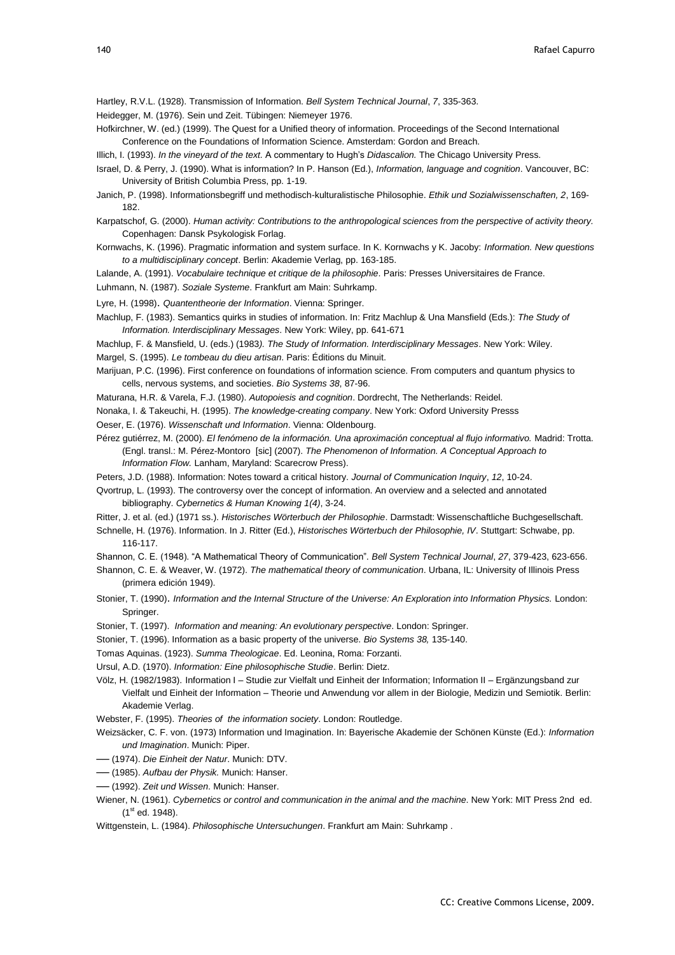- Hartley, R.V.L. (1928). Transmission of Information. *Bell System Technical Journal*, *7*, 335-363.
- Heidegger, M. (1976). Sein und Zeit. Tübingen: Niemeyer 1976.
- Hofkirchner, W. (ed.) (1999). The Quest for a Unified theory of information. Proceedings of the Second International Conference on the Foundations of Information Science. Amsterdam: Gordon and Breach.

Illich, I. (1993). *In the vineyard of the text.* A commentary to Hugh's *Didascalion.* The Chicago University Press.

- Israel, D. & Perry, J. (1990). What is information? In P. Hanson (Ed.), *Information, language and cognition*. Vancouver, BC: University of British Columbia Press, pp. 1-19.
- Janich, P. (1998). Informationsbegriff und methodisch-kulturalistische Philosophie. *Ethik und Sozialwissenschaften, 2*, 169- 182.
- Karpatschof, G. (2000). *Human activity: Contributions to the anthropological sciences from the perspective of activity theory.* Copenhagen: Dansk Psykologisk Forlag.
- Kornwachs, K. (1996). Pragmatic information and system surface. In K. Kornwachs y K. Jacoby: *Information. New questions to a multidisciplinary concept*. Berlin: Akademie Verlag, pp. 163-185.
- Lalande, A. (1991). *Vocabulaire technique et critique de la philosophie*. Paris: Presses Universitaires de France.
- Luhmann, N. (1987). *Soziale Systeme*. Frankfurt am Main: Suhrkamp.
- Lyre, H. (1998). *Quantentheorie der Information*. Vienna: Springer.
- Machlup, F. (1983). Semantics quirks in studies of information. In: Fritz Machlup & Una Mansfield (Eds.): *The Study of Information. Interdisciplinary Messages*. New York: Wiley, pp. 641-671
- Machlup, F. & Mansfield, U. (eds.) (1983*). The Study of Information. Interdisciplinary Messages*. New York: Wiley.

Margel, S. (1995). *Le tombeau du dieu artisan*. Paris: Éditions du Minuit.

- Marijuan, P.C. (1996). First conference on foundations of information science. From computers and quantum physics to cells, nervous systems, and societies. *Bio Systems 38*, 87-96.
- Maturana, H.R. & Varela, F.J. (1980). *Autopoiesis and cognition*. Dordrecht, The Netherlands: Reidel.
- Nonaka, I. & Takeuchi, H. (1995). *The knowledge-creating company*. New York: Oxford University Presss
- Oeser, E. (1976). *Wissenschaft und Information*. Vienna: Oldenbourg.
- Pérez gutiérrez, M. (2000). *El fenómeno de la información. Una aproximación conceptual al flujo informativo.* Madrid: Trotta. (Engl. transl.: M. Pérez-Montoro [sic] (2007). *The Phenomenon of Information. A Conceptual Approach to Information Flow.* Lanham, Maryland: Scarecrow Press).
- Peters, J.D. (1988). Information: Notes toward a critical history. *Journal of Communication Inquiry*, *12*, 10-24.
- Qvortrup, L. (1993). The controversy over the concept of information. An overview and a selected and annotated bibliography. *Cybernetics & Human Knowing 1(4)*, 3-24.
- Ritter, J. et al. (ed.) (1971 ss.). *Historisches Wörterbuch der Philosophie*. Darmstadt: Wissenschaftliche Buchgesellschaft.
- Schnelle, H. (1976). Information. In J. Ritter (Ed.), *Historisches Wörterbuch der Philosophie, IV*. Stuttgart: Schwabe, pp. 116-117.

Shannon, C. E. (1948). "A Mathematical Theory of Communication". *Bell System Technical Journal, 27, 379-423, 623-656.* 

- Shannon, C. E. & Weaver, W. (1972). *The mathematical theory of communication*. Urbana, IL: University of Illinois Press (primera edición 1949).
- Stonier, T. (1990). *Information and the Internal Structure of the Universe: An Exploration into Information Physics.* London: Springer.
- Stonier, T. (1997). *Information and meaning: An evolutionary perspective*. London: Springer.
- Stonier, T. (1996). Information as a basic property of the universe. *Bio Systems 38,* 135-140.
- Tomas Aquinas. (1923). *Summa Theologicae*. Ed. Leonina, Roma: Forzanti.
- Ursul, A.D. (1970). *Information: Eine philosophische Studie*. Berlin: Dietz.
- Völz, H. (1982/1983). Information I Studie zur Vielfalt und Einheit der Information; Information II Ergänzungsband zur Vielfalt und Einheit der Information – Theorie und Anwendung vor allem in der Biologie, Medizin und Semiotik. Berlin: Akademie Verlag.
- Webster, F. (1995). *Theories of the information society*. London: Routledge.
- Weizsäcker, C. F. von. (1973) Information und Imagination. In: Bayerische Akademie der Schönen Künste (Ed.): *Information und Imagination*. Munich: Piper.
- ── (1974). *Die Einheit der Natur*. Munich: DTV.
- ── (1985). *Aufbau der Physik.* Munich: Hanser.
- ── (1992). *Zeit und Wissen*. Munich: Hanser.
- Wiener, N. (1961). *Cybernetics or control and communication in the animal and the machine*. New York: MIT Press 2nd ed.  $(1<sup>st</sup>$  ed. 1948).
- Wittgenstein, L. (1984). *Philosophische Untersuchungen*. Frankfurt am Main: Suhrkamp .